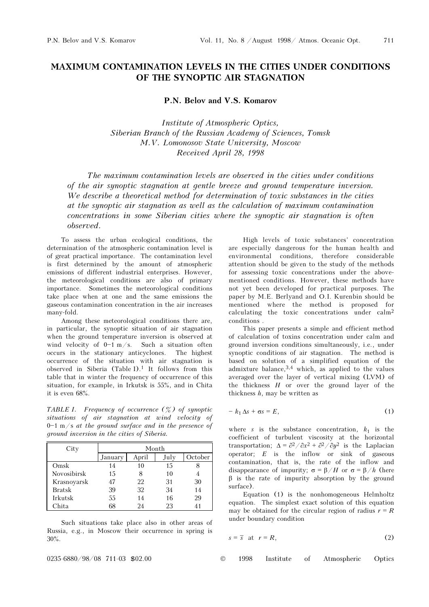## MAXIMUM CONTAMINATION LEVELS IN THE CITIES UNDER CONDITIONS OF THE SYNOPTIC AIR STAGNATION

P.N. Belov and V.S. Komarov

Institute of Atmospheric Optics, Siberian Branch of the Russian Academy of Sciences, Tomsk M.V. Lomonosov State University, Moscow Received April 28, 1998

The maximum contamination levels are observed in the cities under conditions of the air synoptic stagnation at gentle breeze and ground temperature inversion. We describe a theoretical method for determination of toxic substances in the cities at the synoptic air stagnation as well as the calculation of maximum contamination concentrations in some Siberian cities where the synoptic air stagnation is often observed.

To assess the urban ecological conditions, the determination of the atmospheric contamination level is of great practical importance. The contamination level is first determined by the amount of atmospheric emissions of different industrial enterprises. However, the meteorological conditions are also of primary importance. Sometimes the meteorological conditions take place when at one and the same emissions the gaseous contamination concentration in the air increases many-fold.

Among these meteorological conditions there are, in particular, the synoptic situation of air stagnation when the ground temperature inversion is observed at wind velocity of  $0-1$  m/s. Such a situation often occurs in the stationary anticyclones. The highest occurrence of the situation with air stagnation is observed in Siberia (Table I).<sup>1</sup> It follows from this table that in winter the frequency of occurrence of this situation, for example, in Irkutsk is 55%, and in Chita it is even 68%.

TABLE I. Frequency of occurrence  $(\frac{\%}{6})$  of synoptic situations of air stagnation at wind velocity of  $0-1$  m/s at the ground surface and in the presence of ground inversion in the cities of Siberia.

| City          | Month   |       |      |         |  |  |  |  |
|---------------|---------|-------|------|---------|--|--|--|--|
|               | January | April | July | October |  |  |  |  |
| Omsk          | 14      | 10    | 15   |         |  |  |  |  |
| Novosibirsk   | 15      | 8     | 10   |         |  |  |  |  |
| Krasnoyarsk   |         | 22    | 31   | 30      |  |  |  |  |
| <b>Bratsk</b> | 39      | 32    | 34   | 14      |  |  |  |  |
| Irkutsk       | 55      | 14    | 16   | 29      |  |  |  |  |
| Chita         |         | 24    | 23   |         |  |  |  |  |

Such situations take place also in other areas of Russia, e.g., in Moscow their occurrence in spring is 30%.

High levels of toxic substances' concentration are especially dangerous for the human health and environmental conditions, therefore considerable attention should be given to the study of the methods for assessing toxic concentrations under the abovementioned conditions. However, these methods have not yet been developed for practical purposes. The paper by M.E. Berlyand and O.I. Kurenbin should be mentioned where the method is proposed for calculating the toxic concentrations under calm<sup>2</sup> conditions .

This paper presents a simple and efficient method of calculation of toxins concentration under calm and ground inversion conditions simultaneously, i.e., under synoptic conditions of air stagnation. The method is based on solution of a simplified equation of the admixture balance,  $3,4$  which, as applied to the values averaged over the layer of vertical mixing (LVM) of the thickness  $H$  or over the ground layer of the thickness  $h$ , may be written as

$$
-k_1 \Delta s + \sigma s = E, \tag{1}
$$

where s is the substance concentration,  $k_1$  is the coefficient of turbulent viscosity at the horizontal transportation;  $\Delta = \partial^2 / \partial x^2 + \partial^2 / \partial y^2$  is the Laplacian operator;  $E$  is the inflow or sink of gaseous contamination, that is, the rate of the inflow and disappearance of impurity;  $\sigma = \beta/H$  or  $\sigma = \beta/h$  (here β is the rate of impurity absorption by the ground surface).

Equation (1) is the nonhomogeneous Helmholtz equation. The simplest exact solution of this equation may be obtained for the circular region of radius  $r = R$ under boundary condition

$$
s = \overline{s} \quad \text{at} \quad r = R,\tag{2}
$$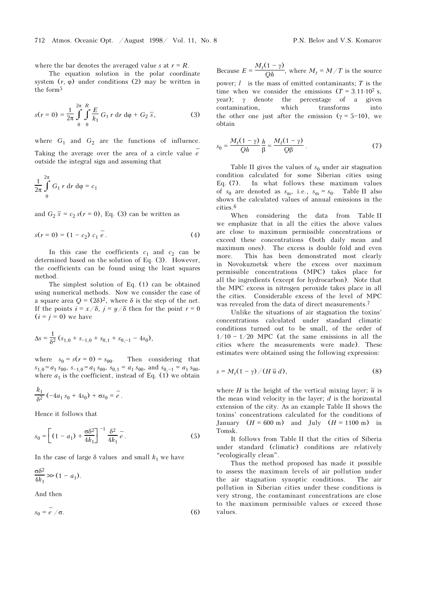where the bar denotes the averaged value s at  $r = R$ .

The equation solution in the polar coordinate system  $(r, \varphi)$  under conditions (2) may be written in the form<sup>5</sup>

$$
s(r = 0) = \frac{1}{2\pi} \int_{0}^{2\pi} \int_{0}^{R} \frac{E}{k_1} G_1 r \, dr \, d\varphi + G_2 \, \overline{s}, \qquad (3)
$$

where  $G_1$  and  $G_2$  are the functions of influence. Taking the average over the area of a circle value  $\overset{-}{e}$ outside the integral sign and assuming that

$$
\frac{1}{2\pi} \int\limits_{0}^{2\pi} G_1 r \, dr \, d\varphi = c_1
$$

and  $G_2 \bar{s} = c_2 s(r = 0)$ , Eq. (3) can be written as

$$
s(r = 0) = (1 - c_2) c_1 e^{\overline{c}}.
$$
 (4)

In this case the coefficients  $c_1$  and  $c_2$  can be determined based on the solution of Eq. (3). However, the coefficients can be found using the least squares method.

The simplest solution of Eq. (1) can be obtained using numerical methods. Now we consider the case of a square area  $Q = (2\delta)^2$ , where  $\delta$  is the step of the net. If the points  $i = x/\delta$ ,  $j = y/\delta$  then for the point  $r = 0$  $(i = j = 0)$  we have

$$
\Delta s = \frac{1}{\delta^2} (s_{1,0} + s_{-1,0} + s_{0,1} + s_{0,-1} - 4s_0),
$$

where  $s_0 = s(r = 0) = s_{00}$ . Then considering that  $s_{1,0} = a_1 s_{00}$ ,  $s_{-1,0} = a_1 s_{00}$ ,  $s_{0,1} = a_1 s_{00}$ , and  $s_{0,-1} = a_1 s_{00}$ , where  $a_1$  is the coefficient, instead of Eq. (1) we obtain

$$
\frac{k_1}{\delta^2} \left( -4a_1 s_0 + 4s_0 \right) + \sigma s_0 = e.
$$

Hence it follows that

$$
s_0 = \left[ (1 - a_1) + \frac{\sigma \delta^2}{4k_1} \right]^{-1} \frac{\delta^2}{4k_1} e.
$$
 (5)

In the case of large  $\delta$  values and small  $k_1$  we have

$$
\frac{\sigma \delta^2}{4k_1} \gg (1 - a_1).
$$

And then

$$
s_0 = e^{\prime}/\sigma.
$$
 (6)

Because  $E = \frac{M_t(1 - \gamma)}{Qh}$ , where  $M_t = M/T$  is the source power:  $l$  is the mass of emitted contaminants;  $T$  is the time when we consider the emissions  $(T = 3.11 \cdot 10^7 \text{ s}$ , year); γ denote the percentage of a given contamination, which transforms into the other one just after the emission ( $\gamma = 5-10$ ), we obtain

$$
s_0 = \frac{M_t(1-\gamma)}{Qh} \frac{h}{\beta} = \frac{M_t(1-\gamma)}{Q\beta} \tag{7}
$$

Table II gives the values of  $s_0$  under air stagnation condition calculated for some Siberian cities using Eq. (7). In what follows these maximum values of  $s_0$  are denoted as  $s_m$ , i.e.,  $s_m = s_0$ . Table II also shows the calculated values of annual emissions in the cities.<sup>6</sup>

When considering the data from Table II we emphasize that in all the cities the above values are close to maximum permissible concentrations or exceed these concentrations (both daily mean and maximum ones). The excess is double fold and even more. This has been demonstrated most clearly in Novokuznetsk where the excess over maximum permissible concentrations (MPC) takes place for all the ingredients (except for hydrocarbon). Note that the MPC excess in nitrogen peroxide takes place in all the cities. Considerable excess of the level of MPC was revealed from the data of direct measurements.<sup>7</sup>

Unlike the situations of air stagnation the toxins' concentrations calculated under standard climatic conditions turned out to be small, of the order of  $1/10 - 1/20$  MPC (at the same emissions in all the cities where the measurements were made). These estimates were obtained using the following expression:

$$
s = M_t(1 - \gamma) / (H \bar{u} d), \qquad (8)
$$

where H is the height of the vertical mixing layer;  $\bar{u}$  is the mean wind velocity in the layer;  $d$  is the horizontal extension of the city. As an example Table II shows the toxins' concentrations calculated for the conditions of January  $(H = 600 \text{ m})$  and July  $(H = 1100 \text{ m})$  in Tomsk.

It follows from Table II that the cities of Siberia under standard (climatic) conditions are relatively "ecologically clean".

Thus the method proposed has made it possible to assess the maximum levels of air pollution under the air stagnation synoptic conditions. The air pollution in Siberian cities under these conditions is very strong, the contaminant concentrations are close to the maximum permissible values or exceed those values.